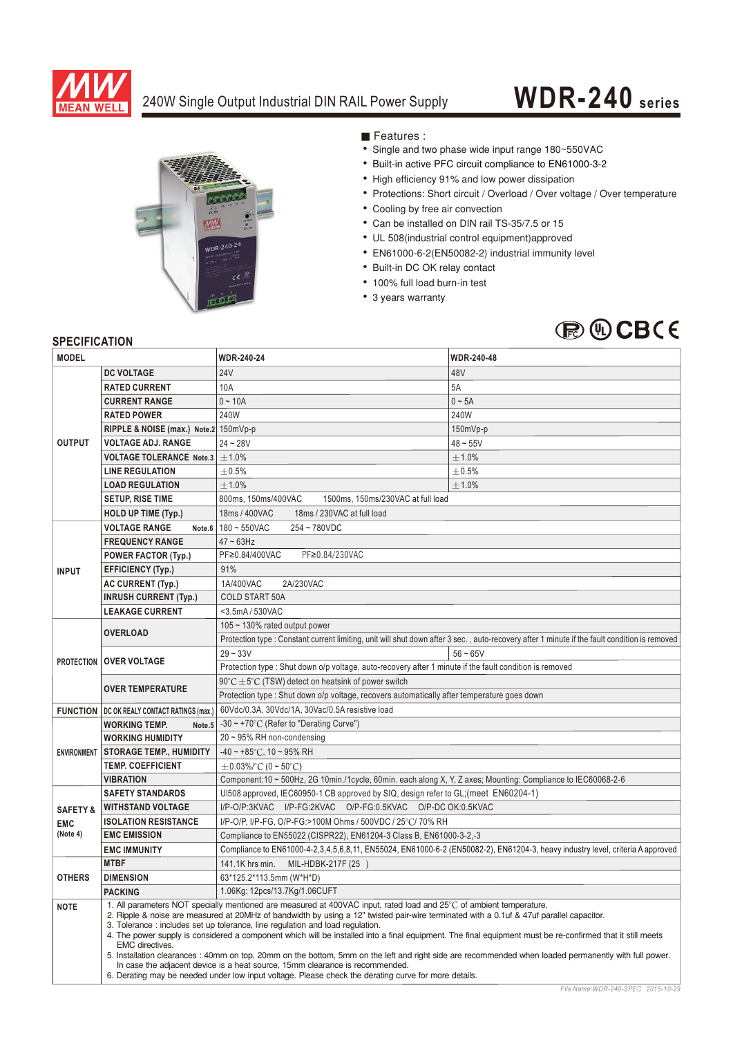

### 240W Single Output Industrial DIN RAIL Power Supply

# **WDR-240 series**



Features :

- Single and two phase wide input range 180~550VAC
- Built-in active PFC circuit compliance to EN61000-3-2
- High efficiency 91% and low power dissipation
- Protections: Short circuit / Overload / Over voltage / Over temperature
- Cooling by free air convection
- Can be installed on DIN rail TS-35/7.5 or 15
- UL 508(industrial control equipment)approved
- EN61000-6-2(EN50082-2) industrial immunity level
- Built-in DC OK relay contact
- 100% full load burn-in test
- 3 years warranty

## **BOCBCE**

#### **SPECIFICATION**

| <b>MODEL</b>            |                                                                                                                                                                                                                                                                                                                                                                                                                                                                                                                                                                                                                                                                                                                                                                           | <b>WDR-240-24</b>                                                                                                                            | <b>WDR-240-48</b> |
|-------------------------|---------------------------------------------------------------------------------------------------------------------------------------------------------------------------------------------------------------------------------------------------------------------------------------------------------------------------------------------------------------------------------------------------------------------------------------------------------------------------------------------------------------------------------------------------------------------------------------------------------------------------------------------------------------------------------------------------------------------------------------------------------------------------|----------------------------------------------------------------------------------------------------------------------------------------------|-------------------|
| <b>OUTPUT</b>           | <b>DC VOLTAGE</b>                                                                                                                                                                                                                                                                                                                                                                                                                                                                                                                                                                                                                                                                                                                                                         | <b>24V</b>                                                                                                                                   | 48V               |
|                         | <b>RATED CURRENT</b>                                                                                                                                                                                                                                                                                                                                                                                                                                                                                                                                                                                                                                                                                                                                                      | 10A                                                                                                                                          | 5A                |
|                         | <b>CURRENT RANGE</b>                                                                                                                                                                                                                                                                                                                                                                                                                                                                                                                                                                                                                                                                                                                                                      | $0 - 10A$                                                                                                                                    | $0 \sim 5A$       |
|                         | <b>RATED POWER</b>                                                                                                                                                                                                                                                                                                                                                                                                                                                                                                                                                                                                                                                                                                                                                        | 240W                                                                                                                                         | 240W              |
|                         | RIPPLE & NOISE (max.) Note.2 150mVp-p                                                                                                                                                                                                                                                                                                                                                                                                                                                                                                                                                                                                                                                                                                                                     |                                                                                                                                              | $150mVp-p$        |
|                         | <b>VOLTAGE ADJ. RANGE</b>                                                                                                                                                                                                                                                                                                                                                                                                                                                                                                                                                                                                                                                                                                                                                 | $24 - 28V$                                                                                                                                   | $48 - 55V$        |
|                         | <b>VOLTAGE TOLERANCE Note.3</b>                                                                                                                                                                                                                                                                                                                                                                                                                                                                                                                                                                                                                                                                                                                                           | ±1.0%                                                                                                                                        | ±1.0%             |
|                         | <b>LINE REGULATION</b>                                                                                                                                                                                                                                                                                                                                                                                                                                                                                                                                                                                                                                                                                                                                                    | $\pm 0.5\%$                                                                                                                                  | $\pm 0.5\%$       |
|                         | <b>LOAD REGULATION</b>                                                                                                                                                                                                                                                                                                                                                                                                                                                                                                                                                                                                                                                                                                                                                    | ±1.0%                                                                                                                                        | $+1.0%$           |
|                         | <b>SETUP, RISE TIME</b>                                                                                                                                                                                                                                                                                                                                                                                                                                                                                                                                                                                                                                                                                                                                                   | 800ms, 150ms/400VAC<br>1500ms, 150ms/230VAC at full load                                                                                     |                   |
|                         | <b>HOLD UP TIME (Typ.)</b>                                                                                                                                                                                                                                                                                                                                                                                                                                                                                                                                                                                                                                                                                                                                                | 18ms / 400VAC<br>18ms / 230VAC at full load                                                                                                  |                   |
| <b>INPUT</b>            | <b>VOLTAGE RANGE</b>                                                                                                                                                                                                                                                                                                                                                                                                                                                                                                                                                                                                                                                                                                                                                      | Note.6 $180 \sim 550$ VAC<br>254~780VDC                                                                                                      |                   |
|                         | <b>FREQUENCY RANGE</b>                                                                                                                                                                                                                                                                                                                                                                                                                                                                                                                                                                                                                                                                                                                                                    | $47 \sim 63$ Hz                                                                                                                              |                   |
|                         | <b>POWER FACTOR (Typ.)</b>                                                                                                                                                                                                                                                                                                                                                                                                                                                                                                                                                                                                                                                                                                                                                | PF≥0.84/400VAC<br>PF≥0.84/230VAC                                                                                                             |                   |
|                         | <b>EFFICIENCY (Typ.)</b>                                                                                                                                                                                                                                                                                                                                                                                                                                                                                                                                                                                                                                                                                                                                                  | 91%                                                                                                                                          |                   |
|                         | <b>AC CURRENT (Typ.)</b>                                                                                                                                                                                                                                                                                                                                                                                                                                                                                                                                                                                                                                                                                                                                                  | 1A/400VAC<br>2A/230VAC                                                                                                                       |                   |
|                         | <b>INRUSH CURRENT (Typ.)</b>                                                                                                                                                                                                                                                                                                                                                                                                                                                                                                                                                                                                                                                                                                                                              | COLD START 50A                                                                                                                               |                   |
|                         | <b>LEAKAGE CURRENT</b>                                                                                                                                                                                                                                                                                                                                                                                                                                                                                                                                                                                                                                                                                                                                                    | <3.5mA/530VAC                                                                                                                                |                   |
|                         | <b>OVERLOAD</b>                                                                                                                                                                                                                                                                                                                                                                                                                                                                                                                                                                                                                                                                                                                                                           | 105 ~ 130% rated output power                                                                                                                |                   |
|                         |                                                                                                                                                                                                                                                                                                                                                                                                                                                                                                                                                                                                                                                                                                                                                                           | Protection type: Constant current limiting, unit will shut down after 3 sec., auto-recovery after 1 minute if the fault condition is removed |                   |
|                         | PROTECTION   OVER VOLTAGE                                                                                                                                                                                                                                                                                                                                                                                                                                                                                                                                                                                                                                                                                                                                                 | $29 - 33V$                                                                                                                                   | $56 - 65V$        |
|                         |                                                                                                                                                                                                                                                                                                                                                                                                                                                                                                                                                                                                                                                                                                                                                                           | Protection type : Shut down o/p voltage, auto-recovery after 1 minute if the fault condition is removed                                      |                   |
|                         |                                                                                                                                                                                                                                                                                                                                                                                                                                                                                                                                                                                                                                                                                                                                                                           | $90^{\circ}$ C $\pm$ 5°C (TSW) detect on heatsink of power switch                                                                            |                   |
|                         | <b>OVER TEMPERATURE</b>                                                                                                                                                                                                                                                                                                                                                                                                                                                                                                                                                                                                                                                                                                                                                   | Protection type : Shut down o/p voltage, recovers automatically after temperature goes down                                                  |                   |
|                         | <b>FUNCTION   DC OK REALY CONTACT RATINGS (max.)</b>                                                                                                                                                                                                                                                                                                                                                                                                                                                                                                                                                                                                                                                                                                                      | 60Vdc/0.3A, 30Vdc/1A, 30Vac/0.5A resistive load                                                                                              |                   |
|                         | <b>WORKING TEMP.</b><br>Note.5                                                                                                                                                                                                                                                                                                                                                                                                                                                                                                                                                                                                                                                                                                                                            | -30 $\sim$ +70°C (Refer to "Derating Curve")                                                                                                 |                   |
| <b>ENVIRONMENT</b>      | <b>WORKING HUMIDITY</b>                                                                                                                                                                                                                                                                                                                                                                                                                                                                                                                                                                                                                                                                                                                                                   | $20 \sim 95\%$ RH non-condensing                                                                                                             |                   |
|                         | <b>STORAGE TEMP., HUMIDITY</b>                                                                                                                                                                                                                                                                                                                                                                                                                                                                                                                                                                                                                                                                                                                                            | $-40 \sim +85$ °C, 10 ~ 95% RH                                                                                                               |                   |
|                         | <b>TEMP. COEFFICIENT</b>                                                                                                                                                                                                                                                                                                                                                                                                                                                                                                                                                                                                                                                                                                                                                  | $\pm$ 0.03%/°C (0 ~ 50°C)                                                                                                                    |                   |
|                         | <b>VIBRATION</b>                                                                                                                                                                                                                                                                                                                                                                                                                                                                                                                                                                                                                                                                                                                                                          | Component:10 ~ 500Hz, 2G 10min./1cycle, 60min. each along X, Y, Z axes; Mounting: Compliance to IEC60068-2-6                                 |                   |
| <b>SAFETY STANDARDS</b> |                                                                                                                                                                                                                                                                                                                                                                                                                                                                                                                                                                                                                                                                                                                                                                           | UI508 approved, IEC60950-1 CB approved by SIQ, design refer to GL; (meet EN60204-1)                                                          |                   |
| <b>SAFETY &amp;</b>     | <b>WITHSTAND VOLTAGE</b>                                                                                                                                                                                                                                                                                                                                                                                                                                                                                                                                                                                                                                                                                                                                                  | I/P-O/P:3KVAC I/P-FG:2KVAC O/P-FG:0.5KVAC O/P-DCOK:0.5KVAC                                                                                   |                   |
| <b>EMC</b>              | <b>ISOLATION RESISTANCE</b><br>I/P-O/P, I/P-FG, O/P-FG:>100M Ohms / 500VDC / 25°C/ 70% RH                                                                                                                                                                                                                                                                                                                                                                                                                                                                                                                                                                                                                                                                                 |                                                                                                                                              |                   |
| (Note 4)                | <b>EMC EMISSION</b>                                                                                                                                                                                                                                                                                                                                                                                                                                                                                                                                                                                                                                                                                                                                                       | Compliance to EN55022 (CISPR22), EN61204-3 Class B, EN61000-3-2,-3                                                                           |                   |
|                         | <b>EMC IMMUNITY</b>                                                                                                                                                                                                                                                                                                                                                                                                                                                                                                                                                                                                                                                                                                                                                       | Compliance to EN61000-4-2,3,4,5,6,8,11, EN55024, EN61000-6-2 (EN50082-2), EN61204-3, heavy industry level, criteria A approved               |                   |
| <b>OTHERS</b>           | <b>MTBF</b>                                                                                                                                                                                                                                                                                                                                                                                                                                                                                                                                                                                                                                                                                                                                                               | 141.1K hrs min. MIL-HDBK-217F (25)                                                                                                           |                   |
|                         | <b>DIMENSION</b>                                                                                                                                                                                                                                                                                                                                                                                                                                                                                                                                                                                                                                                                                                                                                          | 63*125.2*113.5mm (W*H*D)                                                                                                                     |                   |
|                         | <b>PACKING</b>                                                                                                                                                                                                                                                                                                                                                                                                                                                                                                                                                                                                                                                                                                                                                            | 1.06Kg; 12pcs/13.7Kg/1.06CUFT                                                                                                                |                   |
| <b>NOTE</b>             | 1. All parameters NOT specially mentioned are measured at 400VAC input, rated load and 25°C of ambient temperature.<br>2. Ripple & noise are measured at 20MHz of bandwidth by using a 12" twisted pair-wire terminated with a 0.1uf & 47uf parallel capacitor.<br>3. Tolerance: includes set up tolerance, line regulation and load regulation.<br>4. The power supply is considered a component which will be installed into a final equipment. The final equipment must be re-confirmed that it still meets<br>EMC directives.<br>5. Installation clearances: 40mm on top, 20mm on the bottom, 5mm on the left and right side are recommended when loaded permanently with full power.<br>In case the adjacent device is a heat source, 15mm clearance is recommended. |                                                                                                                                              |                   |
|                         |                                                                                                                                                                                                                                                                                                                                                                                                                                                                                                                                                                                                                                                                                                                                                                           | 6. Derating may be needed under low input voltage. Please check the derating curve for more details.                                         |                   |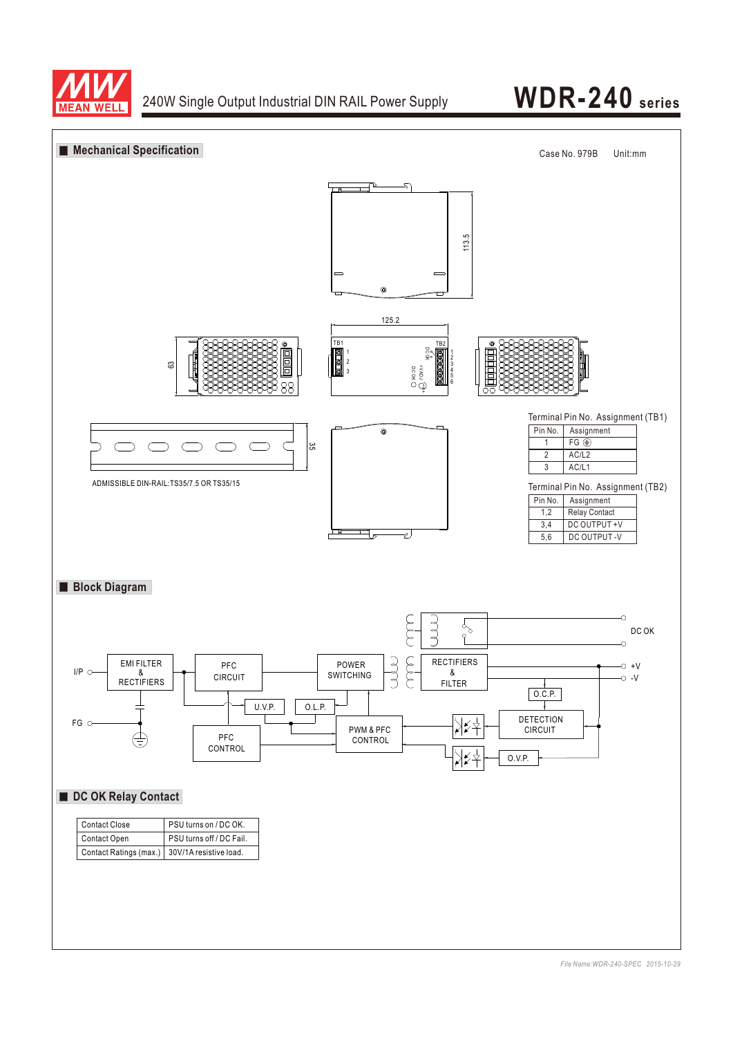